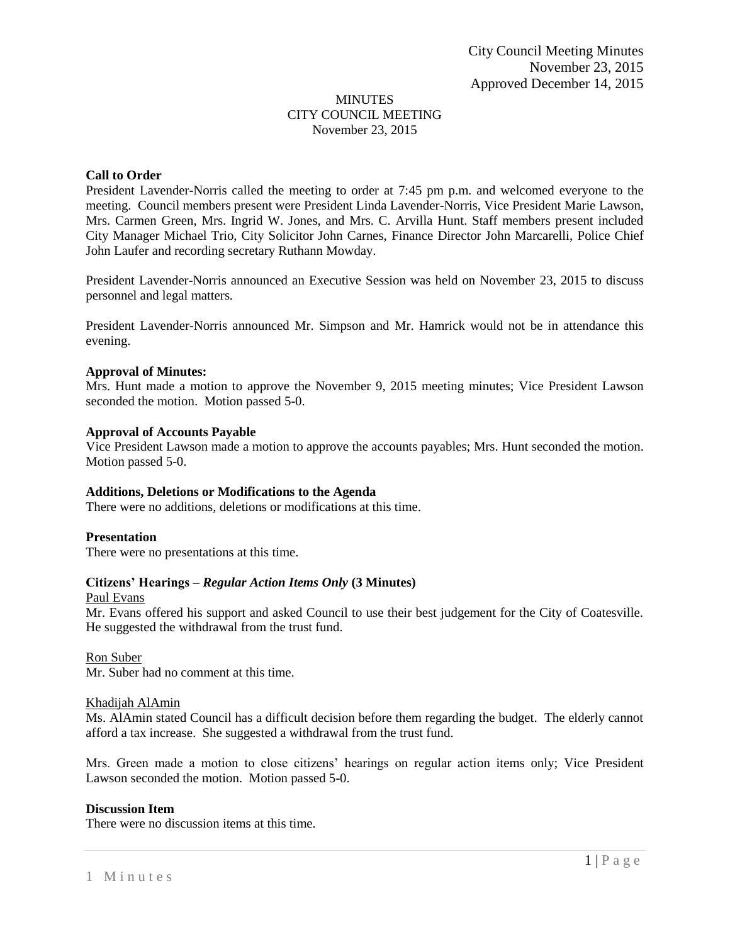### MINUTES CITY COUNCIL MEETING November 23, 2015

### **Call to Order**

President Lavender-Norris called the meeting to order at 7:45 pm p.m. and welcomed everyone to the meeting. Council members present were President Linda Lavender-Norris, Vice President Marie Lawson, Mrs. Carmen Green, Mrs. Ingrid W. Jones, and Mrs. C. Arvilla Hunt. Staff members present included City Manager Michael Trio, City Solicitor John Carnes, Finance Director John Marcarelli, Police Chief John Laufer and recording secretary Ruthann Mowday.

President Lavender-Norris announced an Executive Session was held on November 23, 2015 to discuss personnel and legal matters.

President Lavender-Norris announced Mr. Simpson and Mr. Hamrick would not be in attendance this evening.

### **Approval of Minutes:**

Mrs. Hunt made a motion to approve the November 9, 2015 meeting minutes; Vice President Lawson seconded the motion. Motion passed 5-0.

### **Approval of Accounts Payable**

Vice President Lawson made a motion to approve the accounts payables; Mrs. Hunt seconded the motion. Motion passed 5-0.

## **Additions, Deletions or Modifications to the Agenda**

There were no additions, deletions or modifications at this time.

### **Presentation**

There were no presentations at this time.

## **Citizens' Hearings –** *Regular Action Items Only* **(3 Minutes)**

Paul Evans

Mr. Evans offered his support and asked Council to use their best judgement for the City of Coatesville. He suggested the withdrawal from the trust fund.

### Ron Suber

Mr. Suber had no comment at this time.

### Khadijah AlAmin

Ms. AlAmin stated Council has a difficult decision before them regarding the budget. The elderly cannot afford a tax increase. She suggested a withdrawal from the trust fund.

Mrs. Green made a motion to close citizens' hearings on regular action items only; Vice President Lawson seconded the motion. Motion passed 5-0.

### **Discussion Item**

There were no discussion items at this time.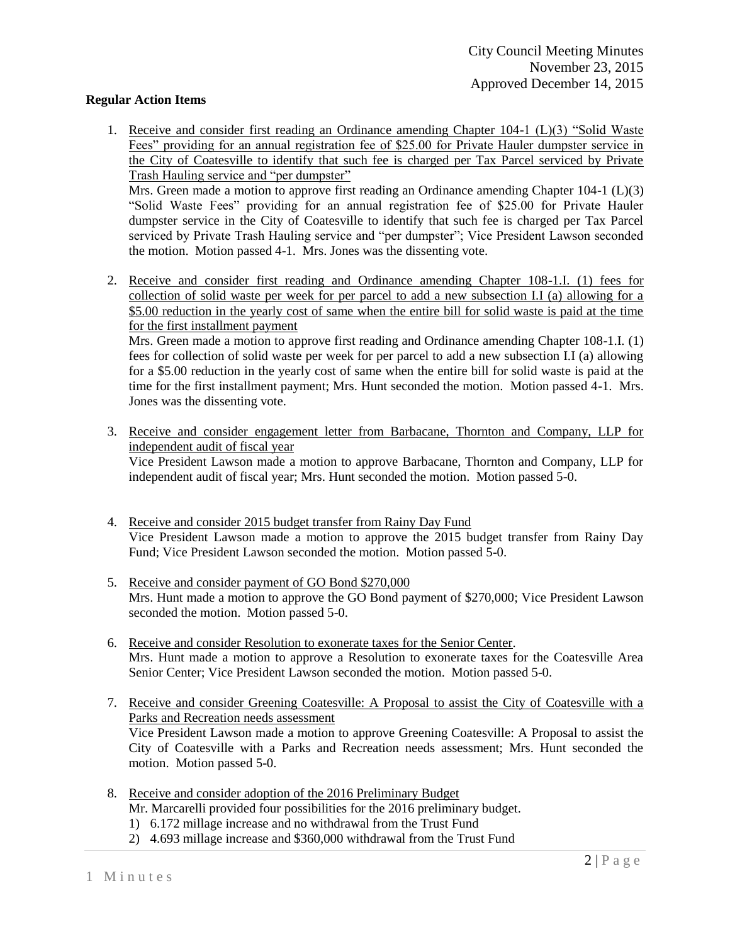# **Regular Action Items**

1. Receive and consider first reading an Ordinance amending Chapter 104-1 (L)(3) "Solid Waste Fees" providing for an annual registration fee of \$25.00 for Private Hauler dumpster service in the City of Coatesville to identify that such fee is charged per Tax Parcel serviced by Private Trash Hauling service and "per dumpster"

Mrs. Green made a motion to approve first reading an Ordinance amending Chapter 104-1 (L)(3) "Solid Waste Fees" providing for an annual registration fee of \$25.00 for Private Hauler dumpster service in the City of Coatesville to identify that such fee is charged per Tax Parcel serviced by Private Trash Hauling service and "per dumpster"; Vice President Lawson seconded the motion. Motion passed 4-1. Mrs. Jones was the dissenting vote.

2. Receive and consider first reading and Ordinance amending Chapter 108-1.I. (1) fees for collection of solid waste per week for per parcel to add a new subsection I.I (a) allowing for a \$5.00 reduction in the yearly cost of same when the entire bill for solid waste is paid at the time for the first installment payment

Mrs. Green made a motion to approve first reading and Ordinance amending Chapter 108-1.I. (1) fees for collection of solid waste per week for per parcel to add a new subsection I.I (a) allowing for a \$5.00 reduction in the yearly cost of same when the entire bill for solid waste is paid at the time for the first installment payment; Mrs. Hunt seconded the motion. Motion passed 4-1. Mrs. Jones was the dissenting vote.

3. Receive and consider engagement letter from Barbacane, Thornton and Company, LLP for independent audit of fiscal year

Vice President Lawson made a motion to approve Barbacane, Thornton and Company, LLP for independent audit of fiscal year; Mrs. Hunt seconded the motion. Motion passed 5-0.

- 4. Receive and consider 2015 budget transfer from Rainy Day Fund Vice President Lawson made a motion to approve the 2015 budget transfer from Rainy Day Fund; Vice President Lawson seconded the motion. Motion passed 5-0.
- 5. Receive and consider payment of GO Bond \$270,000 Mrs. Hunt made a motion to approve the GO Bond payment of \$270,000; Vice President Lawson seconded the motion. Motion passed 5-0.
- 6. Receive and consider Resolution to exonerate taxes for the Senior Center. Mrs. Hunt made a motion to approve a Resolution to exonerate taxes for the Coatesville Area Senior Center; Vice President Lawson seconded the motion. Motion passed 5-0.
- 7. Receive and consider Greening Coatesville: A Proposal to assist the City of Coatesville with a Parks and Recreation needs assessment Vice President Lawson made a motion to approve Greening Coatesville: A Proposal to assist the City of Coatesville with a Parks and Recreation needs assessment; Mrs. Hunt seconded the
- 8. Receive and consider adoption of the 2016 Preliminary Budget Mr. Marcarelli provided four possibilities for the 2016 preliminary budget.
	- 1) 6.172 millage increase and no withdrawal from the Trust Fund
	- 2) 4.693 millage increase and \$360,000 withdrawal from the Trust Fund

motion. Motion passed 5-0.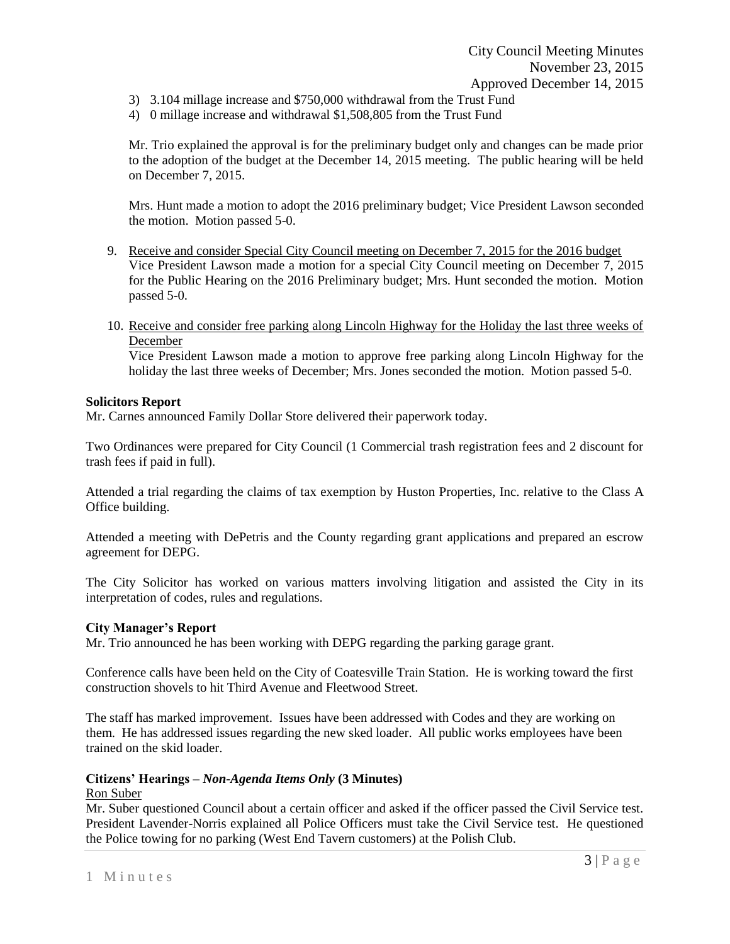- 3) 3.104 millage increase and \$750,000 withdrawal from the Trust Fund
- 4) 0 millage increase and withdrawal \$1,508,805 from the Trust Fund

Mr. Trio explained the approval is for the preliminary budget only and changes can be made prior to the adoption of the budget at the December 14, 2015 meeting. The public hearing will be held on December 7, 2015.

Mrs. Hunt made a motion to adopt the 2016 preliminary budget; Vice President Lawson seconded the motion. Motion passed 5-0.

- 9. Receive and consider Special City Council meeting on December 7, 2015 for the 2016 budget Vice President Lawson made a motion for a special City Council meeting on December 7, 2015 for the Public Hearing on the 2016 Preliminary budget; Mrs. Hunt seconded the motion. Motion passed 5-0.
- 10. Receive and consider free parking along Lincoln Highway for the Holiday the last three weeks of December

Vice President Lawson made a motion to approve free parking along Lincoln Highway for the holiday the last three weeks of December; Mrs. Jones seconded the motion. Motion passed 5-0.

## **Solicitors Report**

Mr. Carnes announced Family Dollar Store delivered their paperwork today.

Two Ordinances were prepared for City Council (1 Commercial trash registration fees and 2 discount for trash fees if paid in full).

Attended a trial regarding the claims of tax exemption by Huston Properties, Inc. relative to the Class A Office building.

Attended a meeting with DePetris and the County regarding grant applications and prepared an escrow agreement for DEPG.

The City Solicitor has worked on various matters involving litigation and assisted the City in its interpretation of codes, rules and regulations.

## **City Manager's Report**

Mr. Trio announced he has been working with DEPG regarding the parking garage grant.

Conference calls have been held on the City of Coatesville Train Station. He is working toward the first construction shovels to hit Third Avenue and Fleetwood Street.

The staff has marked improvement. Issues have been addressed with Codes and they are working on them. He has addressed issues regarding the new sked loader. All public works employees have been trained on the skid loader.

## **Citizens' Hearings –** *Non-Agenda Items Only* **(3 Minutes)**

Ron Suber

Mr. Suber questioned Council about a certain officer and asked if the officer passed the Civil Service test. President Lavender-Norris explained all Police Officers must take the Civil Service test. He questioned the Police towing for no parking (West End Tavern customers) at the Polish Club.